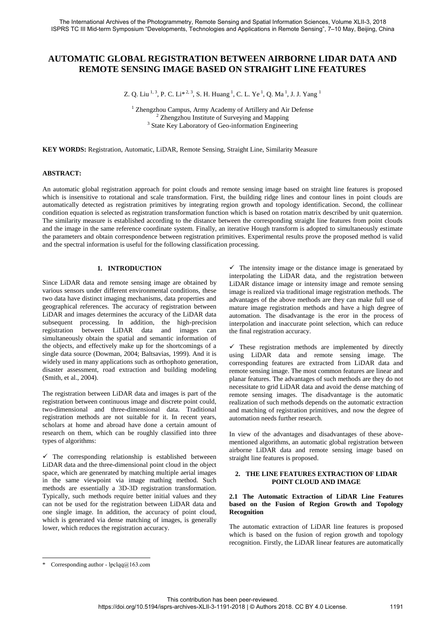# **AUTOMATIC GLOBAL REGISTRATION BETWEEN AIRBORNE LIDAR DATA AND REMOTE SENSING IMAGE BASED ON STRAIGHT LINE FEATURES**

Z. Q. Liu <sup>1, 3</sup>, P. C. Li $^{*2, 3}$ , S. H. Huang <sup>1</sup>, C. L. Ye <sup>1</sup>, Q. Ma <sup>1</sup>, J. J. Yang <sup>1</sup>

<sup>1</sup> Zhengzhou Campus, Army Academy of Artillery and Air Defense <sup>2</sup> Zhengzhou Institute of Surveying and Mapping <sup>3</sup> State Key Laboratory of Geo-information Engineering

**KEY WORDS:** Registration, Automatic, LiDAR, Remote Sensing, Straight Line, Similarity Measure

### **ABSTRACT:**

An automatic global registration approach for point clouds and remote sensing image based on straight line features is proposed which is insensitive to rotational and scale transformation. First, the building ridge lines and contour lines in point clouds are automatically detected as registration primitives by integrating region growth and topology identification. Second, the collinear condition equation is selected as registration transformation function which is based on rotation matrix described by unit quaternion. The similarity measure is established according to the distance between the corresponding straight line features from point clouds and the image in the same reference coordinate system. Finally, an iterative Hough transform is adopted to simultaneously estimate the parameters and obtain correspondence between registration primitives. Experimental results prove the proposed method is valid and the spectral information is useful for the following classification processing.

# **1. INTRODUCTION**

Since LiDAR data and remote sensing image are obtained by various sensors under different environmental conditions, these two data have distinct imaging mechanisms, data properties and geographical references. The accuracy of registration between LiDAR and images determines the accuracy of the LiDAR data subsequent processing. In addition, the high-precision registration between LiDAR data and images can simultaneously obtain the spatial and semantic information of the objects, and effectively make up for the shortcomings of a single data source (Dowman, 2004; Baltsavias, 1999). And it is widely used in many applications such as orthophoto generation, disaster assessment, road extraction and building modeling (Smith, et al., 2004).

The registration between LiDAR data and images is part of the registration between continuous image and discrete point could, two-dimensional and three-dimensional data. Traditional registration methods are not suitable for it. In recent years, scholars at home and abroad have done a certain amount of research on them, which can be roughly classified into three types of algorithms:

 $\checkmark$  The corresponding relationship is established betweeen LiDAR data and the three-dimensional point cloud in the object space, which are genenrated by matching multiple aerial images in the same viewpoint via image mathing method. Such methods are essentially a 3D-3D registration transformation. Typically, such methods require better initial values and they can not be used for the registration between LiDAR data and one single image. In addition, the accuracy of point cloud, which is generated via dense matching of images, is generally lower, which reduces the registration accuracy.

 $\checkmark$  The intensity image or the distance image is generated by interpolating the LiDAR data, and the registration between LiDAR distance image or intensity image and remote sensing image is realized via traditional image registration methods. The advantages of the above methods are they can make full use of mature image registration methods and have a high degree of automation. The disadvantage is the eror in the process of interpolation and inaccurate point selection, which can reduce the final registration accuracy.

 $\checkmark$  These registration methods are implemented by directly using LiDAR data and remote sensing image. The corresponding features are extracted from LiDAR data and remote sensing image. The most common features are linear and planar features. The advantages of such methods are they do not necessitate to grid LiDAR data and avoid the dense matching of remote sensing images. The disadvantage is the automatic realization of such methods depends on the automatic extraction and matching of registration primitives, and now the degree of automation needs further research.

In view of the advantages and disadvantages of these abovementioned algorithms, an automatic global registration between airborne LiDAR data and remote sensing image based on straight line features is proposed.

#### **2. THE LINE FEATURES EXTRACTION OF LIDAR POINT CLOUD AND IMAGE**

## **2.1 The Automatic Extraction of LiDAR Line Features based on the Fusion of Region Growth and Topology Recognition**

The automatic extraction of LiDAR line features is proposed which is based on the fusion of region growth and topology recognition. Firstly, the LiDAR linear features are automatically

<sup>\*</sup> Corresponding author -  $lpclq@163.com$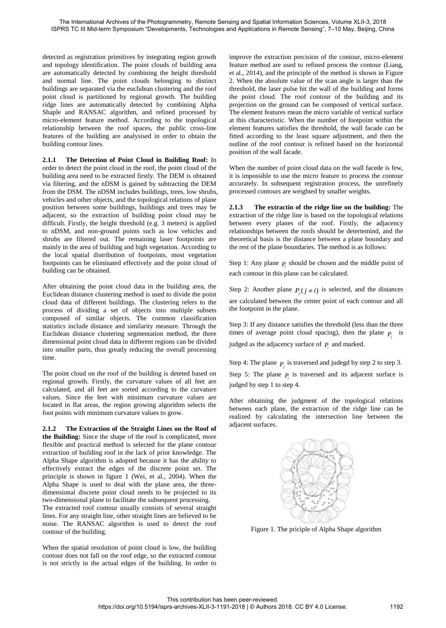detected as registration primitives by integrating region growth and topology identification. The point clouds of building area are automatically detected by combining the height threshold and normal line. The point clouds belonging to distinct buildings are separated via the euclidean clustering and the roof point cloud is partitioned by regional growth. The building ridge lines are automatically detected by combining Alpha Shaple and RANSAC algorithm, and refined processed by micro-element feature method. According to the topological relationship between the roof spaces, the public cross-line features of the building are analysised in order to obtain the building contour lines.

**2.1.1 The Detection of Point Cloud in Building Roof:** In order to detect the point cloud in the roof, the point cloud of the building area need to be extracted firstly. The DEM is obtained via filtering, and the nDSM is gained by subtracting the DEM from the DSM. The nDSM includes buildings, trees, low shrubs, vehicles and other objects, and the topological relations of plane position between some buildings, buildings and trees may be adjacent, so the extraction of building point cloud may be difficult. Firstly, the height threshold (e.g. 3 meters) is applied to nDSM, and non-ground points such as low vehicles and shrubs are filtered out. The remaining laser footpoints are mainly in the area of building and high vegetation. According to the local spatial distribution of footpoints, most vegetation footpoints can be eliminated effectively and the point cloud of building can be obtained.

After obtaining the point cloud data in the building area, the Euclidean distance clustering method is used to divide the point cloud data of different buildings. The clustering refers to the process of dividing a set of objects into multiple subsets composed of similar objects. The common classification statistics include distance and similarity measure. Through the Euclidean distance clustering segmentation method, the three dimensional point cloud data in different regions can be divided into smaller parts, thus greatly reducing the overall processing time.

The point cloud on the roof of the building is deteted based on regional growth. Firstly, the curvature values of all feet are calculated, and all feet are sorted according to the curvature values. Since the feet with minimum curvature values are located in flat areas, the region growing algorithm selects the foot points with minimum curvature values to grow.

**2.1.2 The Extraction of the Straight Lines on the Roof of the Building:** Since the shape of the roof is complicated, more flexible and practical method is selected for the plane contour extraction of building roof in the lack of prior knowledge. The Alpha Shape algorithm is adopted because it has the ability to effectively extract the edges of the discrete point set. The principle is shown in figure 1 (Wei, et al., 2004). When the Alpha Shape is used to deal with the plane area, the threedimensional discrete point cloud needs to be projected to its two-dimensional plane to facilitate the subsequent processing.

The extracted roof contour usually consists of several straight lines. For any straight line, other straight lines are believed to be noise. The RANSAC algorithm is used to detect the roof contour of the building.

When the spatial resolution of point cloud is low, the building contour does not fall on the roof edge, so the extracted contour is not strictly in the actual edges of the building. In order to improve the extraction precision of the contour, micro-element feature method are used to refined process the contour (Liang, et al., 2014), and the principle of the method is shown in Figure 2. When the absolute value of the scan angle is larger than the threshold, the laser pulse hit the wall of the building and forms the point cloud. The roof contour of the building and its projection on the ground can be composed of vertical surface. The element features mean the micro variable of vertical surface at this characteristic. When the number of footpoint within the element features satisfies the threshold, the wall facade can be fitted according to the least square adjustment, and then the outline of the roof contour is refined based on the horizontal position of the wall facade.

When the number of point cloud data on the wall facede is few, it is impossible to use the micro feature to process the contour accurately. In subsequent registration process, the unrefinely processed contours are weighted by smaller weights.

**2.1.3 The extractin of the ridge line on the building:** The extraction of the ridge line is based on the topological relations between every planes of the roof. Firstly, the adjacency relationships between the roofs should be detertemind, and the theoretical basis is the distance between a plane boundary and the rest of the plane boundaries. The method is as follows:

Step 1: Any plane  $P_i$  should be chosen and the middle point of each contour in this plane can be calculated.

Step 2: Another plane  $P_j$  ( $j \neq i$ ) is selected, and the distances are calculated between the center point of each contour and all the footpoint in the plane.

Step 3: If any distance satisfies the threshold (less than the three times of average point cloud spacing), then the plane  $P_j$  is judged as the adjacency surface of  $P_i$  and marked.

Step 4: The plane  $P_j$  is traversed and judegd by step 2 to step 3. Step 5: The plane  $P_i$  is traversed and its adjacent surface is judged by step 1 to step 4.

After obtaining the judgment of the topological relations between each plane, the extraction of the ridge line can be realized by calculating the intersection line between the adjacent surfaces.



Figure 1. The priciple of Alpha Shape algorithm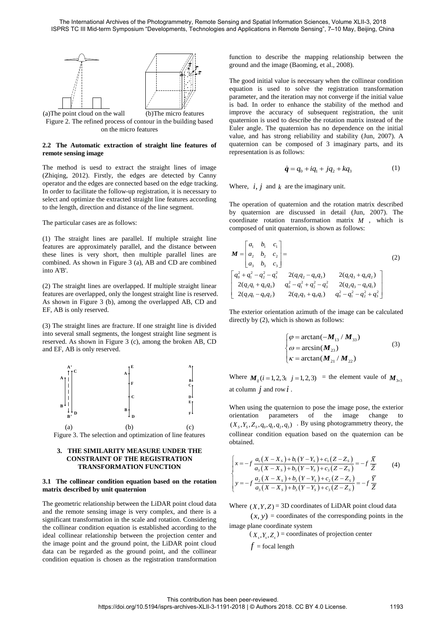

Figure 2. The refined process of contour in the building based on the micro features

## **2.2 The Automatic extraction of straight line features of remote sensing image**

The method is uesd to extract the straight lines of image (Zhiqing, 2012). Firstly, the edges are detected by Canny operator and the edges are connected based on the edge tracking. In order to facilitate the follow-up registration, it is necessary to select and optimize the extracted straight line features according to the length, direction and distance of the line segment.

The particular cases are as follows:

(1) The straight lines are parallel. If multiple straight line features are approximately parallel, and the distance between these lines is very short, then multiple parallel lines are combined. As shown in Figure 3 (a), AB and CD are combined into A'B'.

(2) The straight lines are overlapped. If multiple straight linear features are overlapped, only the longest straight line is reserved. As shown in Figure 3 (b), among the overlapped AB, CD and EF, AB is only reserved.

(3) The straight lines are fracture. If one straight line is divided into several small segments, the longest straight line segment is reserved. As shown in Figure 3 (c), among the broken AB, CD and EF, AB is only reserved.



# **3. THE SIMILARITY MEASURE UNDER THE CONSTRAINT OF THE REGISTRATION**

# **TRANSFORMATION FUNCTION**

#### **3.1 The collinear condition equation based on the rotation matrix described by unit quaternion**

The geometric relationship between the LiDAR point cloud data and the remote sensing image is very complex, and there is a significant transformation in the scale and rotation. Considering the collinear condition equation is established according to the ideal collinear relationship between the projection center and the image point and the ground point, the LiDAR point cloud data can be regarded as the ground point, and the collinear condition equation is chosen as the registration transformation

function to describe the mapping relationship between the ground and the image (Baoming, et al., 2008).

The good initial value is necessary when the collinear condition equation is used to solve the registration transformation parameter, and the iteration may not converge if the initial value is bad. In order to enhance the stability of the method and improve the accuracy of subsequent registration, the unit quaternion is used to describe the rotation matrix instead of the Euler angle. The quaternion has no dependence on the initial value, and has strong reliability and stability (Jun, 2007). A quaternion can be composed of 3 imaginary parts, and its representation is as follows:

$$
\dot{q} = q_0 + iq_1 + jq_2 + kq_3 \tag{1}
$$

Where,  $i, j$  and  $k$  are the imaginary unit.

The operation of quaternion and the rotation matrix described by quaternion are discussed in detail (Jun, 2007). The coordinate rotation transformation matrix *M* , which is

composed of unit quaternion, is shown as follows:  
\n
$$
\mathbf{M} = \begin{bmatrix} a_1 & b_1 & c_1 \\ a_2 & b_2 & c_2 \\ a_3 & b_3 & c_3 \end{bmatrix} = (2)
$$
\n
$$
\begin{bmatrix} q_0^2 + q_1^2 - q_2^2 - q_3^2 & 2(q_1q_2 - q_0q_3) & 2(q_1q_3 + q_0q_2) \\ 2(q_2q_1 + q_0q_3) & q_0^2 - q_1^2 + q_2^2 - q_3^2 & 2(q_2q_3 - q_0q_1) \\ 2(q_3q_1 - q_0q_2) & 2(q_2q_3 + q_0q_1) & q_0^2 - q_1^2 - q_2^2 + q_3^2 \end{bmatrix}
$$

The exterior orientation azimuth of the image can be calculated directly by (2), which is shown as follows:

$$
\begin{cases}\n\varphi = \arctan(-\mathbf{M}_{13} / \mathbf{M}_{33}) \\
\omega = \arcsin(\mathbf{M}_{23}) \\
\kappa = \arctan(\mathbf{M}_{21} / \mathbf{M}_{22})\n\end{cases}
$$
\n(3)

Where  $M_{ij}$  (*i* = 1, 2, 3; *j* = 1, 2, 3) = the element vaule of  $M_{3\times 3}$ at column  $\dot{j}$  and row  $\dot{i}$ .

When using the quaternion to pose the image pose, the exterior orientation parameters of the image change to  $(X_s, Y_s, Z_s, q_0, q_1, q_2, q_3)$ . By using photogrammetry theory, the collinear condition equation based on the quaternion can be obtained.

obtained.  
\n
$$
\begin{cases}\nx = -f \frac{a_1(X - X_s) + b_1(Y - Y_s) + c_1(Z - Z_s)}{a_3(X - X_s) + b_3(Y - Y_s) + c_3(Z - Z_s)} = -f \frac{\overline{X}}{\overline{Z}} \\
y = -f \frac{a_2(X - X_s) + b_2(Y - Y_s) + c_3(Z - Z_s)}{a_3(X - X_s) + b_3(Y - Y_s) + c_3(Z - Z_s)} = -f \frac{\overline{Y}}{\overline{Z}}\n\end{cases}
$$
\n(4)

Where  $(X, Y, Z) = 3D$  coordinates of LiDAR point cloud data

 $(x, y)$  = coordinates of the corresponding points in the image plane coordinate system

 $(X_s, Y_s, Z_s)$  = coordinates of projection center

$$
f
$$
 = focal length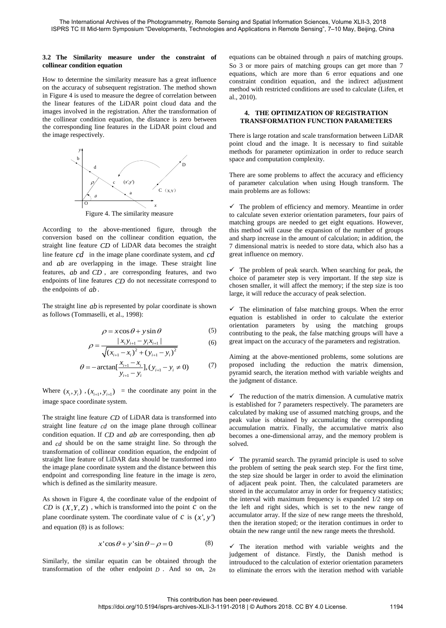#### **3.2 The Similarity measure under the constraint of collinear condition equation**

How to determine the similarity measure has a great influence on the accuracy of subsequent registration. The method shown in Figure 4 is used to measure the degree of correlation between the linear features of the LiDAR point cloud data and the images involved in the registration. After the transformation of the collinear condition equation, the distance is zero between the corresponding line features in the LiDAR point cloud and the image respectively.



Figure 4. The similarity measure

According to the above-mentioned figure, through the conversion based on the collinear condition equation, the straight line feature *CD* of LiDAR data becomes the straight line feature *cd* in the image plane coordinate system, and *cd* and *ab* are overlapping in the image. These straight line features, *ab* and *CD* , are corresponding features, and two endpoints of line features *CD* do not necessitate correspond to the endpoints of *ab* .

The straight line *ab* is represented by polar coordinate is shown as follows (Tommaselli, et al., 1998):

$$
\rho = x\cos\theta + y\sin\theta\tag{5}
$$

$$
\rho = x \cos \theta + y \sin \theta
$$
\n
$$
\rho = \frac{|x_i y_{i+1} - y_i x_{i+1}|}{\sqrt{(x_{i+1} - x_i)^2 + (y_{i+1} - y_i)^2}}
$$
\n(6)

$$
\sqrt{(x_{i+1} - x_i)^2 + (y_{i+1} - y_i)^2}
$$
  
\n
$$
\theta = -\arctan[\frac{x_{i+1} - x_i}{y_{i+1} - y_i}], (y_{i+1} - y_i \neq 0)
$$
 (7)

Where  $(x_i, y_i)$ ,  $(x_{i+1}, y_{i+1})$  = the coordinate any point in the image space coordinate system.

The straight line feature *CD* of LiDAR data is transformed into straight line feature *cd* on the image plane through collinear condition equation. If *CD* and *ab* are corresponding, then *ab* and *cd* should be on the same straight line. So through the transformation of collinear condition equation, the endpoint of straight line feature of LiDAR data should be transformed into the image plane coordinate system and the distance between this endpoint and corresponding line feature in the image is zero, which is defined as the similarity measure.

As shown in Figure 4, the coordinate value of the endpoint of  $CD$  is  $(X, Y, Z)$ , which is transformed into the point  $\overline{C}$  on the plane coordinate system. The coordinate value of  $c$  is  $(x', y')$ and equation (8) is as follows:

$$
x' \cos \theta + y' \sin \theta - \rho = 0 \tag{8}
$$

Similarly, the similar equatin can be obtained through the transformation of the other endpoint *D* . And so on, 2*n*

equations can be obtained through *n* pairs of matching groups. So 3 or more pairs of matching groups can get more than 7 equations, which are more than 6 error equations and one constraint condition equation, and the indirect adjustment method with restricted conditions are used to calculate (Lifen, et al., 2010).

#### **4. THE OPTIMIZATION OF REGISTRATION TRANSFORMATION FUNCTION PARAMETERS**

There is large rotation and scale transformation between LiDAR point cloud and the image. It is necessary to find suitable methods for parameter optimization in order to reduce search space and computation complexity.

There are some problems to affect the accuracy and efficiency of parameter calculation when using Hough transform. The main problems are as follows:

 $\checkmark$  The problem of efficiency and memory. Meantime in order to calculate seven exterior orientation parameters, four pairs of matching groups are needed to get eight equations. However, this method will cause the expansion of the number of groups and sharp increase in the amount of calculation; in addition, the 7 dimensional matrix is needed to store data, which also has a great influence on memory.

 $\checkmark$  The problem of peak search. When searching for peak, the choice of parameter step is very important. If the step size is chosen smaller, it will affect the memory; if the step size is too large, it will reduce the accuracy of peak selection.

 $\checkmark$  The elimination of false matching groups. When the error equation is established in order to calculate the exterior orientation parameters by using the matching groups contributing to the peak, the false matching groups will have a great impact on the accuracy of the parameters and registration.

Aiming at the above-mentioned problems, some solutions are proposed including the reduction the matrix dimension, pyramid search, the iteration method with variable weights and the judgment of distance.

 $\checkmark$  The reduction of the matrix dimension. A cumulative matrix is established for 7 parameters respectively. The parameters are calculated by making use of assumed matching groups, and the peak value is obtained by accumulating the corresponding accumulation matrix. Finally, the accumulative matrix also becomes a one-dimensional array, and the memory problem is solved.

 $\checkmark$  The pyramid search. The pyramid principle is used to solve the problem of setting the peak search step. For the first time, the step size should be larger in order to avoid the elimination of adjacent peak point. Then, the calculated parameters are stored in the accumulator array in order for frequency statistics; the interval with maximum frequency is expanded 1/2 step on the left and right sides, which is set to the new range of accumulator array. If the size of new range meets the threshold, then the iteration stoped; or the iteration contimues in order to obtain the new range until the new range meets the threshold.

 $\checkmark$  The iteration method with variable weights and the judgement of distance. Firstly, the Danish method is introuduced to the calculation of exterior orientation parameters to eliminate the errors with the iteration method with variable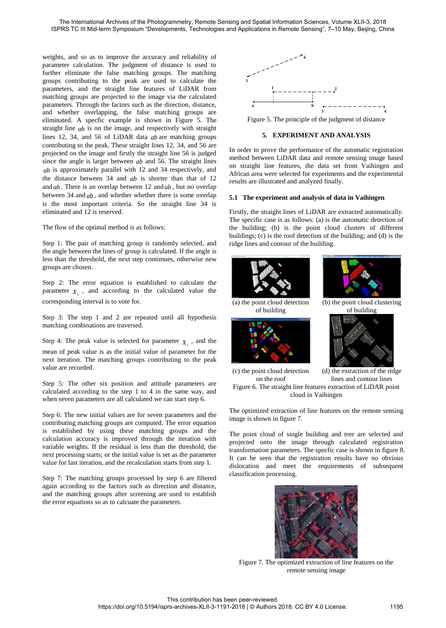weights, and so as to improve the accuracy and reliability of parameter calculation. The judgment of distance is used to further eliminate the false matching groups. The matching groups contributing to the peak are used to calculate the parameters, and the straight line features of LiDAR from matching groups are projected to the image via the calculated parameters. Through the factors such as the direction, distance, and whether overlapping, the false matching groups are eliminated. A specfic example is shown in Figure 5. The straight line *ab* is on the image, and respectively with straight lines 12, 34, and 56 of LiDAR data *ab* are matching groups contributing to the peak. These straight lines 12, 34, and 56 are projected on the image and firstly the straight line 56 is judged since the angle is larger between *ab* and 56. The straight lines *ab* is approximately parallel with 12 and 34 respectively, and the distance between 34 and *ab* is shorter than that of 12 and *ab* . There is an overlap between 12 and *ab* , but no overlap between 34 and *ab* , and whether whether there is some overlap is the most important criteria. So the straight line 34 is eliminated and 12 is reserved.

The flow of the optimal method is as follows:

Step 1: The pair of matching group is randomly selected, and the angle between the lines of group is calculated. If the angle is less than the threshold, the next step contimues, otherwise new groups are chosen.

Step 2: The error equation is established to calculate the parameter  $X<sub>s</sub>$ , and according to the calculated value the corresponding interval is to vote for.

Step 3: The step 1 and 2 are repeated until all hypothesis matching combinations are traversed.

Step 4: The peak value is selected for parameter  $X<sub>s</sub>$ , and the mean of peak value is as the initial value of parameter for the next iteration. The matching groups contributing to the peak value are recorded.

Step 5: The other six position and attitude parameters are calculated according to the step 1 to 4 in the same way, and when seven parameters are all calculated we can start step 6.

Step 6: The new initial values are for seven parameters and the contributing matching groups are computed. The error equation is established by using these matching groups and the calculation accuracy is improved through the iteration with variable weights. If the residual is less than the threshold, the next processing starts; or the initial value is set as the parameter value for last iteration, and the recalculation starts from step 1.

Step 7: The matching groups processed by step 6 are filtered again according to the factors such as direction and distance, and the matching groups after screening are used to establish the error equations so as to calcuate the parameters.



Figure 5. The principle of the judgment of distance

## **5. EXPERIMENT AND ANALYSIS**

In order to prove the performance of the automatic registration method between LiDAR data and remote sensing image based on straight line features, the data set from Vaihingen and African area were selected for experiments and the experimental results are illustrated and analyzed finally.

#### **5.1 The experiment and analysis of data in Vaihingen**

Firstly, the straight lines of LiDAR are extracted automatically. The specific case is as follows: (a) is the automatic detection of the building; (b) is the point cloud clusters of different buildings; (c) is the roof detection of the building; and (d) is the ridge lines and contour of the building.



The point cloud of single building and tree are selected and projected onto the image through calculated registration transformation parameters. The specfic case is shown in figure 8. It can be seen that the registration results have no obvious dislocation and meet the requirements of subsequent classification processing.



Figure 7. The optimized extraction of line features on the remote sensing image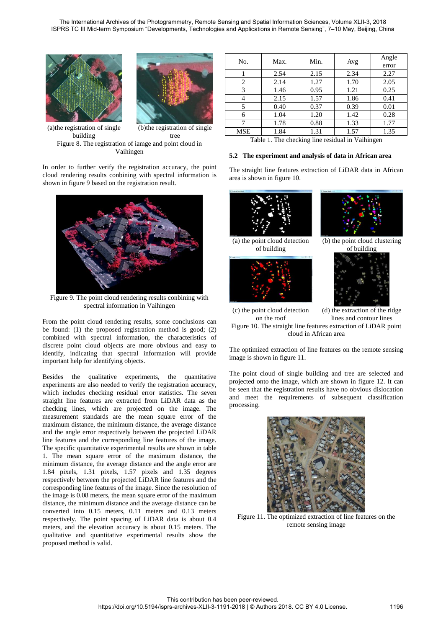



(a)the registration of single building (b)the registration of single tree Figure 8. The registration of iamge and point cloud in Vaihingen

In order to further verify the registration accuracy, the point cloud rendering results conbining with spectral information is shown in figure 9 based on the registration result.



Figure 9. The point cloud rendering results conbining with spectral information in Vaihingen

From the point cloud rendering results, some conclusions can be found: (1) the proposed registration method is good; (2) combined with spectral information, the characteristics of discrete point cloud objects are more obvious and easy to identify, indicating that spectral information will provide important help for identifying objects.

Besides the qualitative experiments, the quantitative experiments are also needed to verify the registration accuracy, which includes checking residual error statistics. The seven straight line features are extracted from LiDAR data as the checking lines, which are projected on the image. The measurement standards are the mean square error of the maximum distance, the minimum distance, the average distance and the angle error respectively between the projected LiDAR line features and the corresponding line features of the image. The specific quantitative experimental results are shown in table 1. The mean square error of the maximum distance, the minimum distance, the average distance and the angle error are 1.84 pixels, 1.31 pixels, 1.57 pixels and 1.35 degrees respectively between the projected LiDAR line features and the corresponding line features of the image. Since the resolution of the image is 0.08 meters, the mean square error of the maximum distance, the minimum distance and the average distance can be converted into 0.15 meters, 0.11 meters and 0.13 meters respectively. The point spacing of LiDAR data is about 0.4 meters, and the elevation accuracy is about 0.15 meters. The qualitative and quantitative experimental results show the proposed method is valid.

| No.        | Max. | Min. | Avg  | Angle<br>error |
|------------|------|------|------|----------------|
|            | 2.54 | 2.15 | 2.34 | 2.27           |
| 2          | 2.14 | 1.27 | 1.70 | 2.05           |
| 3          | 1.46 | 0.95 | 1.21 | 0.25           |
|            | 2.15 | 1.57 | 1.86 | 0.41           |
| 5          | 0.40 | 0.37 | 0.39 | 0.01           |
| 6          | 1.04 | 1.20 | 1.42 | 0.28           |
|            | 1.78 | 0.88 | 1.33 | 1.77           |
| <b>MSE</b> | 1.84 | 1.31 | 1.57 | 1.35           |

Table 1. The checking line residual in Vaihingen

### **5.2 The experiment and analysis of data in African area**

The straight line features extraction of LiDAR data in African area is shown in figure 10.



(a) the point cloud detection of building





(b) the point cloud clustering of building



(c) the point cloud detection on the roof (d) the extraction of the ridge lines and contour lines Figure 10. The straight line features extraction of LiDAR point cloud in African area

The optimized extraction of line features on the remote sensing image is shown in figure 11.

The point cloud of single building and tree are selected and projected onto the image, which are shown in figure 12. It can be seen that the registration results have no obvious dislocation and meet the requirements of subsequent classification processing.



Figure 11. The optimized extraction of line features on the remote sensing image